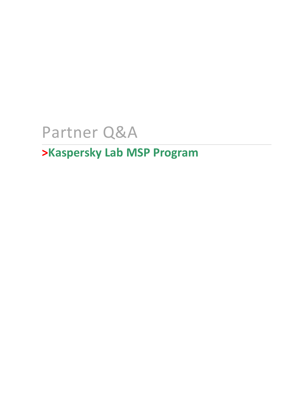# Partner Q&A

## **>Kaspersky Lab MSP Program**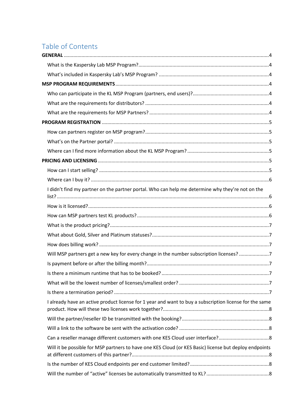### Table of Contents

| I didn't find my partner on the partner portal. Who can help me determine why they're not on the        |  |
|---------------------------------------------------------------------------------------------------------|--|
|                                                                                                         |  |
|                                                                                                         |  |
|                                                                                                         |  |
|                                                                                                         |  |
|                                                                                                         |  |
| Will MSP partners get a new key for every change in the number subscription licenses? 7                 |  |
|                                                                                                         |  |
|                                                                                                         |  |
|                                                                                                         |  |
|                                                                                                         |  |
| I already have an active product license for 1 year and want to buy a subscription license for the same |  |
|                                                                                                         |  |
|                                                                                                         |  |
| Can a reseller manage different customers with one KES Cloud user interface?8                           |  |
| Will it be possible for MSP partners to have one KES Cloud (or KES Basic) license but deploy endpoints  |  |
|                                                                                                         |  |
|                                                                                                         |  |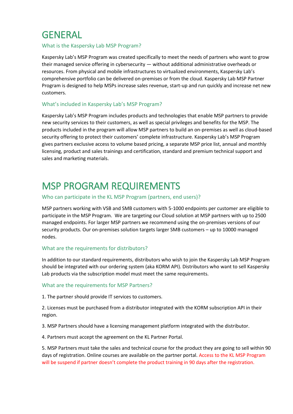### <span id="page-3-0"></span>**GENERAL**

#### <span id="page-3-1"></span>What is the Kaspersky Lab MSP Program?

Kaspersky Lab's MSP Program was created specifically to meet the needs of partners who want to grow their managed service offering in cybersecurity — without additional administrative overheads or resources. From physical and mobile infrastructures to virtualized environments, Kaspersky Lab's comprehensive portfolio can be delivered on-premises or from the cloud. Kaspersky Lab MSP Partner Program is designed to help MSPs increase sales revenue, start-up and run quickly and increase net new customers.

#### <span id="page-3-2"></span>What's included in Kaspersky Lab's MSP Program?

Kaspersky Lab's MSP Program includes products and technologies that enable MSP partners to provide new security services to their customers, as well as special privileges and benefits for the MSP. The products included in the program will allow MSP partners to build an on-premises as well as cloud-based security offering to protect their customers' complete infrastructure. Kaspersky Lab's MSP Program gives partners exclusive access to volume based pricing, a separate MSP price list, annual and monthly licensing, product and sales trainings and certification, standard and premium technical support and sales and marketing materials.

### <span id="page-3-3"></span>MSP PROGRAM REQUIREMENTS

#### <span id="page-3-4"></span>Who can participate in the KL MSP Program (partners, end users)?

MSP partners working with VSB and SMB customers with 5-1000 endpoints per customer are eligible to participate in the MSP Program. We are targeting our Cloud solution at MSP partners with up to 2500 managed endpoints. For larger MSP partners we recommend using the on-premises versions of our security products. Our on-premises solution targets larger SMB customers – up to 10000 managed nodes.

#### <span id="page-3-5"></span>What are the requirements for distributors?

In addition to our standard requirements, distributors who wish to join the Kaspersky Lab MSP Program should be integrated with our ordering system (aka KORM API). Distributors who want to sell Kaspersky Lab products via the subscription model must meet the same requirements.

#### <span id="page-3-6"></span>What are the requirements for MSP Partners?

1. The partner should provide IT services to customers.

2. Licenses must be purchased from a distributor integrated with the KORM subscription API in their region.

3. MSP Partners should have a licensing management platform integrated with the distributor.

4. Partners must accept the agreement on the KL Partner Portal.

5. MSP Partners must take the sales and technical course for the product they are going to sell within 90 days of registration. Online courses are available on the partner portal. Access to the KL MSP Program will be suspend if partner doesn't complete the product training in 90 days after the registration.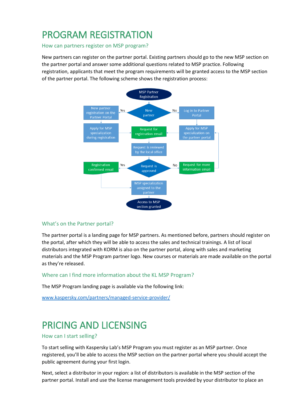### <span id="page-4-0"></span>PROGRAM REGISTRATION

<span id="page-4-1"></span>How can partners register on MSP program?

New partners can register on the partner portal. Existing partners should go to the new MSP section on the partner portal and answer some additional questions related to MSP practice. Following registration, applicants that meet the program requirements will be granted access to the MSP section of the partner portal. The following scheme shows the registration process:



#### <span id="page-4-2"></span>What's on the Partner portal?

The partner portal is a landing page for MSP partners. As mentioned before, partners should register on the portal, after which they will be able to access the sales and technical trainings. A list of local distributors integrated with KORM is also on the partner portal, along with sales and marketing materials and the MSP Program partner logo. New courses or materials are made available on the portal as they're released.

#### <span id="page-4-3"></span>Where can I find more information about the KL MSP Program?

The MSP Program landing page is available via the following link:

[www.kaspersky.com/partners/managed-service-provider/](http://www.kaspersky.com/partners/managed-service-provider/)

### <span id="page-4-4"></span>PRICING AND LICENSING

#### <span id="page-4-5"></span>How can I start selling?

To start selling with Kaspersky Lab's MSP Program you must register as an MSP partner. Once registered, you'll be able to access the MSP section on the partner portal where you should accept the public agreement during your first login.

Next, select a distributor in your region: a list of distributors is available in the MSP section of the partner portal. Install and use the license management tools provided by your distributor to place an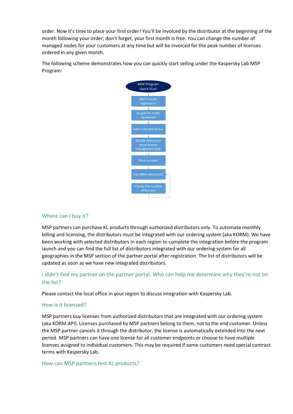order. Now it's time to place your first order! You'll be invoiced by the distributor at the beginning of the month following your order; don't forget, your first month is free. You can change the number of managed nodes for your customers at any time but will be invoiced for the peak number of licenses ordered in any given month.

The following scheme demonstrates how you can quickly start selling under the Kaspersky Lab MSP Program:



#### <span id="page-5-0"></span>Where can I buy it?

MSP partners can purchase KL products through authorized distributors only. To automate monthly billing and licensing, the distributors must be integrated with our ordering system (aka KORM). We have been working with selected distributors in each region to complete the integration before the program launch and you can find the full list of distributors integrated with our ordering system for all geographies in the MSP section of the partner portal after registration. The list of distributors will be updated as soon as we have new integrated distributors.

#### <span id="page-5-1"></span>I didn't find my partner on the partner portal. Who can help me determine why they're not on the list?

Please contact the local office in your region to discuss integration with Kaspersky Lab.

#### <span id="page-5-2"></span>How is it licensed?

MSP partners buy licenses from authorized distributors that are integrated with our ordering system (aka KORM API). Licenses purchased by MSP partners belong to them, not to the end customer. Unless the MSP partner cancels it through the distributor, the license is automatically extended into the next period. MSP partners can have one license for all customer endpoints or choose to have multiple licenses assigned to individual customers. This may be required if some customers need special contract terms with Kaspersky Lab.

#### <span id="page-5-3"></span>How can MSP partners test KL products?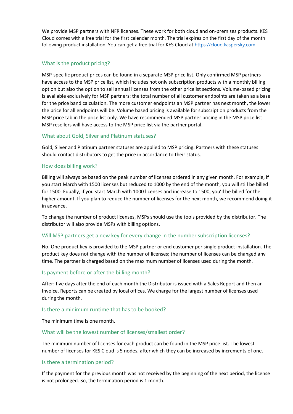We provide MSP partners with NFR licenses. These work for both cloud and on-premises products. KES Cloud comes with a free trial for the first calendar month. The trial expires on the first day of the month following product installation. You can get a free trial for KES Cloud at [https://cloud.kaspersky.com](https://cloud.kaspersky.com/)

#### <span id="page-6-0"></span>What is the product pricing?

MSP-specific product prices can be found in a separate MSP price list. Only confirmed MSP partners have access to the MSP price list, which includes not only subscription products with a monthly billing option but also the option to sell annual licenses from the other pricelist sections. Volume-based pricing is available exclusively for MSP partners: the total number of all customer endpoints are taken as a base for the price band calculation. The more customer endpoints an MSP partner has next month, the lower the price for all endpoints will be. Volume based pricing is available for subscription products from the MSP price tab in the price list only. We have recommended MSP partner pricing in the MSP price list. MSP resellers will have access to the MSP price list via the partner portal.

#### <span id="page-6-1"></span>What about Gold, Silver and Platinum statuses?

Gold, Silver and Platinum partner statuses are applied to MSP pricing. Partners with these statuses should contact distributors to get the price in accordance to their status.

#### <span id="page-6-2"></span>How does billing work?

Billing will always be based on the peak number of licenses ordered in any given month. For example, if you start March with 1500 licenses but reduced to 1000 by the end of the month, you will still be billed for 1500. Equally, if you start March with 1000 licenses and increase to 1500, you'll be billed for the higher amount. If you plan to reduce the number of licenses for the next month, we recommend doing it in advance.

To change the number of product licenses, MSPs should use the tools provided by the distributor. The distributor will also provide MSPs with billing options.

#### <span id="page-6-3"></span>Will MSP partners get a new key for every change in the number subscription licenses?

No. One product key is provided to the MSP partner or end customer per single product installation. The product key does not change with the number of licenses; the number of licenses can be changed any time. The partner is charged based on the maximum number of licenses used during the month.

#### <span id="page-6-4"></span>Is payment before or after the billing month?

After: five days after the end of each month the Distributor is issued with a Sales Report and then an Invoice. Reports can be created by local offices. We charge for the largest number of licenses used during the month.

#### <span id="page-6-5"></span>Is there a minimum runtime that has to be booked?

The minimum time is one month.

#### <span id="page-6-6"></span>What will be the lowest number of licenses/smallest order?

The minimum number of licenses for each product can be found in the MSP price list. The lowest number of licenses for KES Cloud is 5 nodes, after which they can be increased by increments of one.

#### <span id="page-6-7"></span>Is there a termination period?

If the payment for the previous month was not received by the beginning of the next period, the license is not prolonged. So, the termination period is 1 month.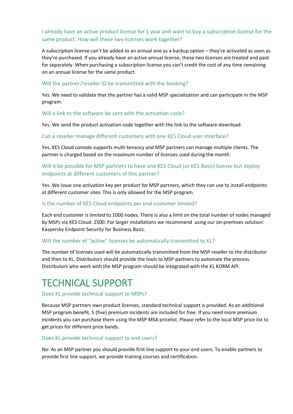#### <span id="page-7-0"></span>I already have an active product license for 1 year and want to buy a subscription license for the same product. How will these two licenses work together?

A subscription license can't be added to an annual one as a backup option – they're activated as soon as they're purchased. If you already have an active annual license, these two licenses are treated and paid for separately. When purchasing a subscription license you can't credit the cost of any time remaining on an annual license for the same product.

#### <span id="page-7-1"></span>Will the partner/reseller ID be transmitted with the booking?

Yes. We need to validate that the partner has a valid MSP specialization and can participate in the MSP program.

#### <span id="page-7-2"></span>Will a link to the software be sent with the activation code?

Yes. We send the product activation code together with the link to the software download.

#### <span id="page-7-3"></span>Can a reseller manage different customers with one KES Cloud user interface?

Yes. KES Cloud console supports multi-tenancy and MSP partners can manage multiple clients. The partner is charged based on the maximum number of licenses used during the month.

#### <span id="page-7-4"></span>Will it be possible for MSP partners to have one KES Cloud (or KES Basic) license but deploy endpoints at different customers of this partner?

Yes. We issue one activation key per product for MSP partners, which they can use to install endpoints at different customer sites. This is only allowed for the MSP program.

#### <span id="page-7-5"></span>Is the number of KES Cloud endpoints per end customer limited?

Each end customer is limited to 1000 nodes. There is also a limit on the total number of nodes managed by MSPs via KES Cloud: 2500. For larger installations we recommend using our on-premises solution: Kaspersky Endpoint Security for Business Basic.

#### <span id="page-7-6"></span>Will the number of "active" licenses be automatically transmitted to KL?

The number of licenses used will be automatically transmitted from the MSP reseller to the distributor and then to KL. Distributors should provide the tools to MSP partners to automate the process. Distributors who work with the MSP program should be integrated with the KL KORM API.

### <span id="page-7-7"></span>TECHNICAL SUPPORT

#### <span id="page-7-8"></span>Does KL provide technical support to MSPs?

Because MSP partners own product licenses, standard technical support is provided. As an additional MSP program benefit, 5 (five) premium incidents are included for free. If you need more premium incidents you can purchase them using the MSP MSA pricelist. Please refer to the local MSP price list to get prices for different price bands.

#### <span id="page-7-9"></span>Does KL provide technical support to end users?

No. As an MSP partner you should provide first line support to your end users. To enable partners to provide first line support, we provide training courses and certification.